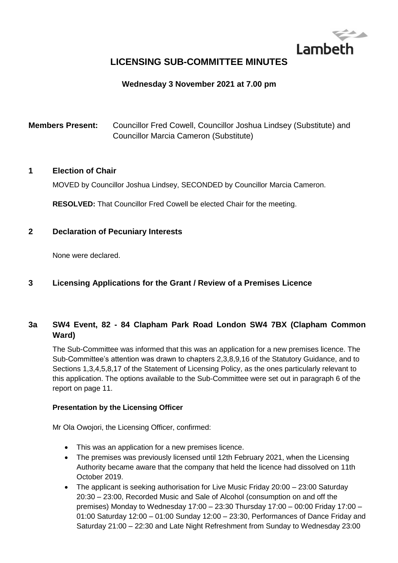

# **LICENSING SUB-COMMITTEE MINUTES**

#### **Wednesday 3 November 2021 at 7.00 pm**

**Members Present:** Councillor Fred Cowell, Councillor Joshua Lindsey (Substitute) and Councillor Marcia Cameron (Substitute)

#### **1 Election of Chair**

MOVED by Councillor Joshua Lindsey, SECONDED by Councillor Marcia Cameron.

**RESOLVED:** That Councillor Fred Cowell be elected Chair for the meeting.

#### **2 Declaration of Pecuniary Interests**

None were declared.

#### **3 Licensing Applications for the Grant / Review of a Premises Licence**

## **3a SW4 Event, 82 - 84 Clapham Park Road London SW4 7BX (Clapham Common Ward)**

The Sub-Committee was informed that this was an application for a new premises licence. The Sub-Committee's attention was drawn to chapters 2,3,8,9,16 of the Statutory Guidance, and to Sections 1,3,4,5,8,17 of the Statement of Licensing Policy, as the ones particularly relevant to this application. The options available to the Sub-Committee were set out in paragraph 6 of the report on page 11.

#### **Presentation by the Licensing Officer**

Mr Ola Owojori, the Licensing Officer, confirmed:

- This was an application for a new premises licence.
- The premises was previously licensed until 12th February 2021, when the Licensing Authority became aware that the company that held the licence had dissolved on 11th October 2019.
- The applicant is seeking authorisation for Live Music Friday 20:00 23:00 Saturday 20:30 – 23:00, Recorded Music and Sale of Alcohol (consumption on and off the premises) Monday to Wednesday 17:00 – 23:30 Thursday 17:00 – 00:00 Friday 17:00 – 01:00 Saturday 12:00 – 01:00 Sunday 12:00 – 23:30, Performances of Dance Friday and Saturday 21:00 – 22:30 and Late Night Refreshment from Sunday to Wednesday 23:00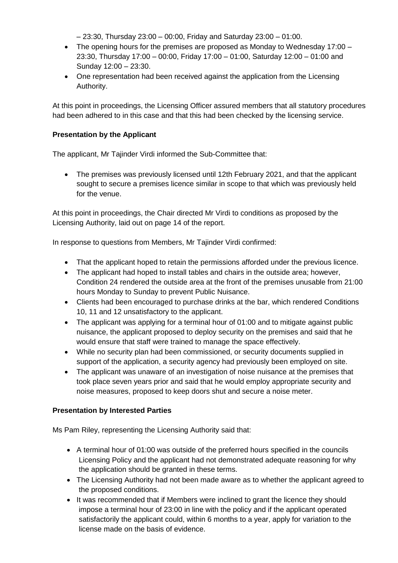– 23:30, Thursday 23:00 – 00:00, Friday and Saturday 23:00 – 01:00.

- The opening hours for the premises are proposed as Monday to Wednesday 17:00 23:30, Thursday 17:00 – 00:00, Friday 17:00 – 01:00, Saturday 12:00 – 01:00 and Sunday 12:00 – 23:30.
- One representation had been received against the application from the Licensing Authority.

At this point in proceedings, the Licensing Officer assured members that all statutory procedures had been adhered to in this case and that this had been checked by the licensing service.

#### **Presentation by the Applicant**

The applicant, Mr Tajinder Virdi informed the Sub-Committee that:

 The premises was previously licensed until 12th February 2021, and that the applicant sought to secure a premises licence similar in scope to that which was previously held for the venue.

At this point in proceedings, the Chair directed Mr Virdi to conditions as proposed by the Licensing Authority, laid out on page 14 of the report.

In response to questions from Members, Mr Tajinder Virdi confirmed:

- That the applicant hoped to retain the permissions afforded under the previous licence.
- The applicant had hoped to install tables and chairs in the outside area; however, Condition 24 rendered the outside area at the front of the premises unusable from 21:00 hours Monday to Sunday to prevent Public Nuisance.
- Clients had been encouraged to purchase drinks at the bar, which rendered Conditions 10, 11 and 12 unsatisfactory to the applicant.
- The applicant was applying for a terminal hour of 01:00 and to mitigate against public nuisance, the applicant proposed to deploy security on the premises and said that he would ensure that staff were trained to manage the space effectively.
- While no security plan had been commissioned, or security documents supplied in support of the application, a security agency had previously been employed on site.
- The applicant was unaware of an investigation of noise nuisance at the premises that took place seven years prior and said that he would employ appropriate security and noise measures, proposed to keep doors shut and secure a noise meter.

#### **Presentation by Interested Parties**

Ms Pam Riley, representing the Licensing Authority said that:

- A terminal hour of 01:00 was outside of the preferred hours specified in the councils Licensing Policy and the applicant had not demonstrated adequate reasoning for why the application should be granted in these terms.
- The Licensing Authority had not been made aware as to whether the applicant agreed to the proposed conditions.
- It was recommended that if Members were inclined to grant the licence they should impose a terminal hour of 23:00 in line with the policy and if the applicant operated satisfactorily the applicant could, within 6 months to a year, apply for variation to the license made on the basis of evidence.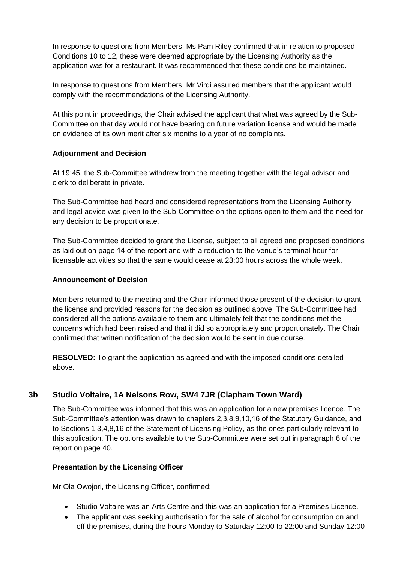In response to questions from Members, Ms Pam Riley confirmed that in relation to proposed Conditions 10 to 12, these were deemed appropriate by the Licensing Authority as the application was for a restaurant. It was recommended that these conditions be maintained.

In response to questions from Members, Mr Virdi assured members that the applicant would comply with the recommendations of the Licensing Authority.

At this point in proceedings, the Chair advised the applicant that what was agreed by the Sub-Committee on that day would not have bearing on future variation license and would be made on evidence of its own merit after six months to a year of no complaints.

#### **Adjournment and Decision**

At 19:45, the Sub-Committee withdrew from the meeting together with the legal advisor and clerk to deliberate in private.

The Sub-Committee had heard and considered representations from the Licensing Authority and legal advice was given to the Sub-Committee on the options open to them and the need for any decision to be proportionate.

The Sub-Committee decided to grant the License, subject to all agreed and proposed conditions as laid out on page 14 of the report and with a reduction to the venue's terminal hour for licensable activities so that the same would cease at 23:00 hours across the whole week.

#### **Announcement of Decision**

Members returned to the meeting and the Chair informed those present of the decision to grant the license and provided reasons for the decision as outlined above. The Sub-Committee had considered all the options available to them and ultimately felt that the conditions met the concerns which had been raised and that it did so appropriately and proportionately. The Chair confirmed that written notification of the decision would be sent in due course.

**RESOLVED:** To grant the application as agreed and with the imposed conditions detailed above.

## **3b Studio Voltaire, 1A Nelsons Row, SW4 7JR (Clapham Town Ward)**

The Sub-Committee was informed that this was an application for a new premises licence. The Sub-Committee's attention was drawn to chapters 2,3,8,9,10,16 of the Statutory Guidance, and to Sections 1,3,4,8,16 of the Statement of Licensing Policy, as the ones particularly relevant to this application. The options available to the Sub-Committee were set out in paragraph 6 of the report on page 40.

#### **Presentation by the Licensing Officer**

Mr Ola Owojori, the Licensing Officer, confirmed:

- Studio Voltaire was an Arts Centre and this was an application for a Premises Licence.
- The applicant was seeking authorisation for the sale of alcohol for consumption on and off the premises, during the hours Monday to Saturday 12:00 to 22:00 and Sunday 12:00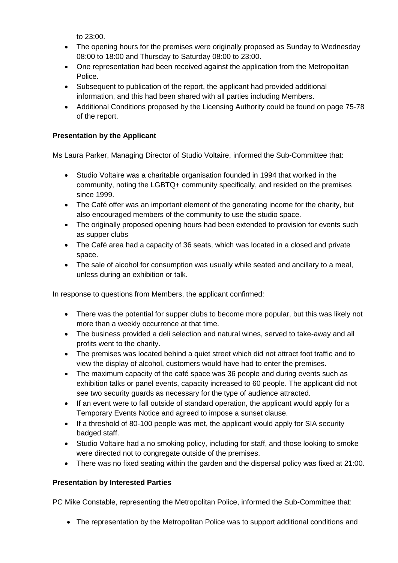to 23:00.

- The opening hours for the premises were originally proposed as Sunday to Wednesday 08:00 to 18:00 and Thursday to Saturday 08:00 to 23:00.
- One representation had been received against the application from the Metropolitan Police.
- Subsequent to publication of the report, the applicant had provided additional information, and this had been shared with all parties including Members.
- Additional Conditions proposed by the Licensing Authority could be found on page 75-78 of the report.

#### **Presentation by the Applicant**

Ms Laura Parker, Managing Director of Studio Voltaire, informed the Sub-Committee that:

- Studio Voltaire was a charitable organisation founded in 1994 that worked in the community, noting the LGBTQ+ community specifically, and resided on the premises since 1999.
- The Café offer was an important element of the generating income for the charity, but also encouraged members of the community to use the studio space.
- The originally proposed opening hours had been extended to provision for events such as supper clubs
- The Café area had a capacity of 36 seats, which was located in a closed and private space.
- The sale of alcohol for consumption was usually while seated and ancillary to a meal, unless during an exhibition or talk.

In response to questions from Members, the applicant confirmed:

- There was the potential for supper clubs to become more popular, but this was likely not more than a weekly occurrence at that time.
- The business provided a deli selection and natural wines, served to take-away and all profits went to the charity.
- The premises was located behind a quiet street which did not attract foot traffic and to view the display of alcohol, customers would have had to enter the premises.
- The maximum capacity of the café space was 36 people and during events such as exhibition talks or panel events, capacity increased to 60 people. The applicant did not see two security guards as necessary for the type of audience attracted.
- If an event were to fall outside of standard operation, the applicant would apply for a Temporary Events Notice and agreed to impose a sunset clause.
- If a threshold of 80-100 people was met, the applicant would apply for SIA security badged staff.
- Studio Voltaire had a no smoking policy, including for staff, and those looking to smoke were directed not to congregate outside of the premises.
- There was no fixed seating within the garden and the dispersal policy was fixed at 21:00.

#### **Presentation by Interested Parties**

PC Mike Constable, representing the Metropolitan Police, informed the Sub-Committee that:

• The representation by the Metropolitan Police was to support additional conditions and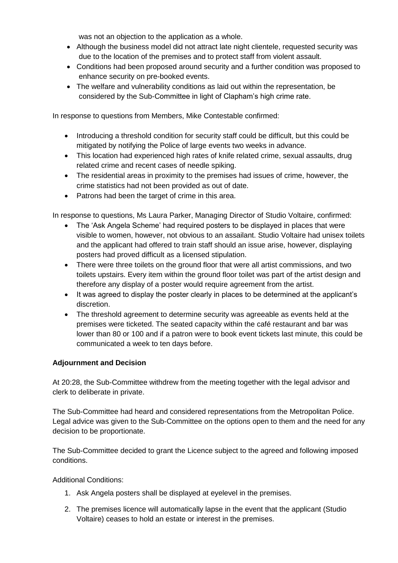was not an objection to the application as a whole.

- Although the business model did not attract late night clientele, requested security was due to the location of the premises and to protect staff from violent assault.
- Conditions had been proposed around security and a further condition was proposed to enhance security on pre-booked events.
- The welfare and vulnerability conditions as laid out within the representation, be considered by the Sub-Committee in light of Clapham's high crime rate.

In response to questions from Members, Mike Contestable confirmed:

- Introducing a threshold condition for security staff could be difficult, but this could be mitigated by notifying the Police of large events two weeks in advance.
- This location had experienced high rates of knife related crime, sexual assaults, drug related crime and recent cases of needle spiking.
- The residential areas in proximity to the premises had issues of crime, however, the crime statistics had not been provided as out of date.
- Patrons had been the target of crime in this area.

In response to questions, Ms Laura Parker, Managing Director of Studio Voltaire, confirmed:

- The 'Ask Angela Scheme' had required posters to be displayed in places that were visible to women, however, not obvious to an assailant. Studio Voltaire had unisex toilets and the applicant had offered to train staff should an issue arise, however, displaying posters had proved difficult as a licensed stipulation.
- There were three toilets on the ground floor that were all artist commissions, and two toilets upstairs. Every item within the ground floor toilet was part of the artist design and therefore any display of a poster would require agreement from the artist.
- It was agreed to display the poster clearly in places to be determined at the applicant's discretion.
- The threshold agreement to determine security was agreeable as events held at the premises were ticketed. The seated capacity within the café restaurant and bar was lower than 80 or 100 and if a patron were to book event tickets last minute, this could be communicated a week to ten days before.

#### **Adjournment and Decision**

At 20:28, the Sub-Committee withdrew from the meeting together with the legal advisor and clerk to deliberate in private.

The Sub-Committee had heard and considered representations from the Metropolitan Police. Legal advice was given to the Sub-Committee on the options open to them and the need for any decision to be proportionate.

The Sub-Committee decided to grant the Licence subject to the agreed and following imposed conditions.

Additional Conditions:

- 1. Ask Angela posters shall be displayed at eyelevel in the premises.
- 2. The premises licence will automatically lapse in the event that the applicant (Studio Voltaire) ceases to hold an estate or interest in the premises.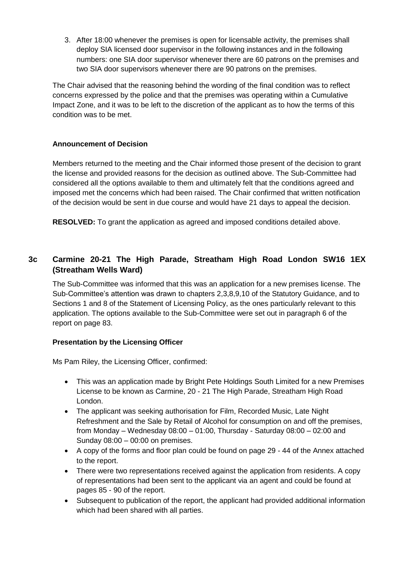3. After 18:00 whenever the premises is open for licensable activity, the premises shall deploy SIA licensed door supervisor in the following instances and in the following numbers: one SIA door supervisor whenever there are 60 patrons on the premises and two SIA door supervisors whenever there are 90 patrons on the premises.

The Chair advised that the reasoning behind the wording of the final condition was to reflect concerns expressed by the police and that the premises was operating within a Cumulative Impact Zone, and it was to be left to the discretion of the applicant as to how the terms of this condition was to be met.

#### **Announcement of Decision**

Members returned to the meeting and the Chair informed those present of the decision to grant the license and provided reasons for the decision as outlined above. The Sub-Committee had considered all the options available to them and ultimately felt that the conditions agreed and imposed met the concerns which had been raised. The Chair confirmed that written notification of the decision would be sent in due course and would have 21 days to appeal the decision.

**RESOLVED:** To grant the application as agreed and imposed conditions detailed above.

# **3c Carmine 20-21 The High Parade, Streatham High Road London SW16 1EX (Streatham Wells Ward)**

The Sub-Committee was informed that this was an application for a new premises license. The Sub-Committee's attention was drawn to chapters 2,3,8,9,10 of the Statutory Guidance, and to Sections 1 and 8 of the Statement of Licensing Policy, as the ones particularly relevant to this application. The options available to the Sub-Committee were set out in paragraph 6 of the report on page 83.

#### **Presentation by the Licensing Officer**

Ms Pam Riley, the Licensing Officer, confirmed:

- This was an application made by Bright Pete Holdings South Limited for a new Premises License to be known as Carmine, 20 - 21 The High Parade, Streatham High Road London.
- The applicant was seeking authorisation for Film, Recorded Music, Late Night Refreshment and the Sale by Retail of Alcohol for consumption on and off the premises, from Monday – Wednesday  $08:00 - 01:00$ , Thursday - Saturday  $08:00 - 02:00$  and Sunday 08:00 – 00:00 on premises.
- A copy of the forms and floor plan could be found on page 29 44 of the Annex attached to the report.
- There were two representations received against the application from residents. A copy of representations had been sent to the applicant via an agent and could be found at pages 85 - 90 of the report.
- Subsequent to publication of the report, the applicant had provided additional information which had been shared with all parties.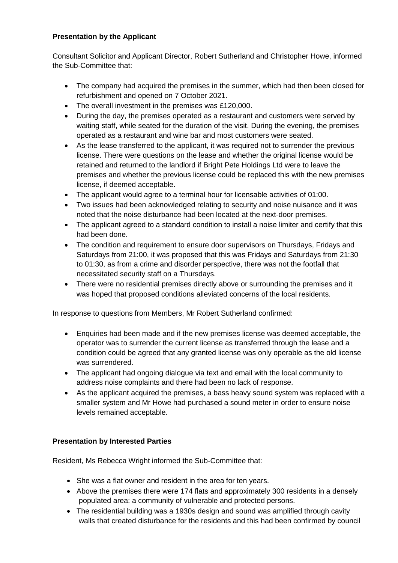#### **Presentation by the Applicant**

Consultant Solicitor and Applicant Director, Robert Sutherland and Christopher Howe, informed the Sub-Committee that:

- The company had acquired the premises in the summer, which had then been closed for refurbishment and opened on 7 October 2021.
- The overall investment in the premises was £120,000.
- During the day, the premises operated as a restaurant and customers were served by waiting staff, while seated for the duration of the visit. During the evening, the premises operated as a restaurant and wine bar and most customers were seated.
- As the lease transferred to the applicant, it was required not to surrender the previous license. There were questions on the lease and whether the original license would be retained and returned to the landlord if Bright Pete Holdings Ltd were to leave the premises and whether the previous license could be replaced this with the new premises license, if deemed acceptable.
- The applicant would agree to a terminal hour for licensable activities of 01:00.
- Two issues had been acknowledged relating to security and noise nuisance and it was noted that the noise disturbance had been located at the next-door premises.
- The applicant agreed to a standard condition to install a noise limiter and certify that this had been done.
- The condition and requirement to ensure door supervisors on Thursdays, Fridays and Saturdays from 21:00, it was proposed that this was Fridays and Saturdays from 21:30 to 01:30, as from a crime and disorder perspective, there was not the footfall that necessitated security staff on a Thursdays.
- There were no residential premises directly above or surrounding the premises and it was hoped that proposed conditions alleviated concerns of the local residents.

In response to questions from Members, Mr Robert Sutherland confirmed:

- Enquiries had been made and if the new premises license was deemed acceptable, the operator was to surrender the current license as transferred through the lease and a condition could be agreed that any granted license was only operable as the old license was surrendered.
- The applicant had ongoing dialogue via text and email with the local community to address noise complaints and there had been no lack of response.
- As the applicant acquired the premises, a bass heavy sound system was replaced with a smaller system and Mr Howe had purchased a sound meter in order to ensure noise levels remained acceptable.

## **Presentation by Interested Parties**

Resident, Ms Rebecca Wright informed the Sub-Committee that:

- She was a flat owner and resident in the area for ten years.
- Above the premises there were 174 flats and approximately 300 residents in a densely populated area: a community of vulnerable and protected persons.
- The residential building was a 1930s design and sound was amplified through cavity walls that created disturbance for the residents and this had been confirmed by council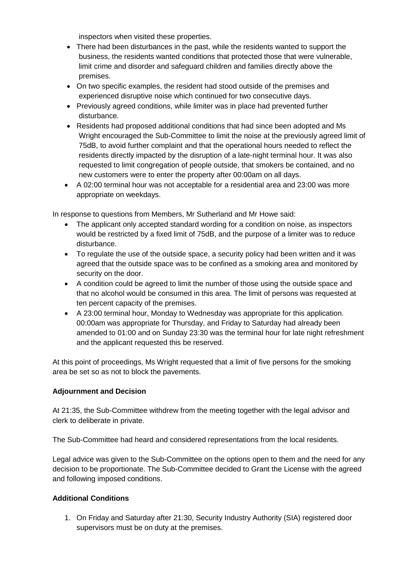inspectors when visited these properties.

- There had been disturbances in the past, while the residents wanted to support the business, the residents wanted conditions that protected those that were vulnerable, limit crime and disorder and safeguard children and families directly above the premises.
- On two specific examples, the resident had stood outside of the premises and experienced disruptive noise which continued for two consecutive days.
- Previously agreed conditions, while limiter was in place had prevented further disturbance.
- Residents had proposed additional conditions that had since been adopted and Ms Wright encouraged the Sub-Committee to limit the noise at the previously agreed limit of 75dB, to avoid further complaint and that the operational hours needed to reflect the residents directly impacted by the disruption of a late-night terminal hour. It was also requested to limit congregation of people outside, that smokers be contained, and no new customers were to enter the property after 00:00am on all days.
- A 02:00 terminal hour was not acceptable for a residential area and 23:00 was more appropriate on weekdays.

In response to questions from Members, Mr Sutherland and Mr Howe said:

- The applicant only accepted standard wording for a condition on noise, as inspectors would be restricted by a fixed limit of 75dB, and the purpose of a limiter was to reduce disturbance.
- To regulate the use of the outside space, a security policy had been written and it was agreed that the outside space was to be confined as a smoking area and monitored by security on the door.
- A condition could be agreed to limit the number of those using the outside space and that no alcohol would be consumed in this area. The limit of persons was requested at ten percent capacity of the premises.
- A 23:00 terminal hour, Monday to Wednesday was appropriate for this application. 00:00am was appropriate for Thursday, and Friday to Saturday had already been amended to 01:00 and on Sunday 23:30 was the terminal hour for late night refreshment and the applicant requested this be reserved.

At this point of proceedings, Ms Wright requested that a limit of five persons for the smoking area be set so as not to block the pavements.

#### **Adjournment and Decision**

At 21:35, the Sub-Committee withdrew from the meeting together with the legal advisor and clerk to deliberate in private.

The Sub-Committee had heard and considered representations from the local residents.

Legal advice was given to the Sub-Committee on the options open to them and the need for any decision to be proportionate. The Sub-Committee decided to Grant the License with the agreed and following imposed conditions.

#### **Additional Conditions**

1. On Friday and Saturday after 21:30, Security Industry Authority (SIA) registered door supervisors must be on duty at the premises.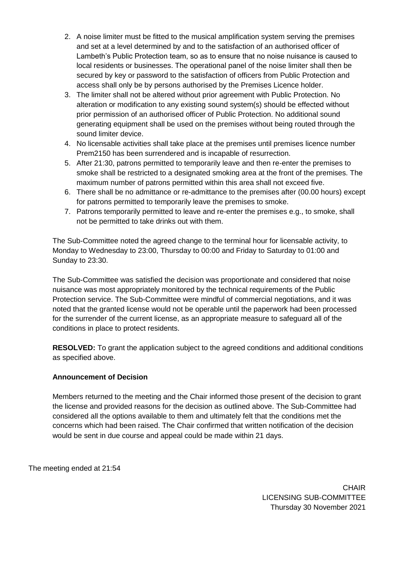- 2. A noise limiter must be fitted to the musical amplification system serving the premises and set at a level determined by and to the satisfaction of an authorised officer of Lambeth's Public Protection team, so as to ensure that no noise nuisance is caused to local residents or businesses. The operational panel of the noise limiter shall then be secured by key or password to the satisfaction of officers from Public Protection and access shall only be by persons authorised by the Premises Licence holder.
- 3. The limiter shall not be altered without prior agreement with Public Protection. No alteration or modification to any existing sound system(s) should be effected without prior permission of an authorised officer of Public Protection. No additional sound generating equipment shall be used on the premises without being routed through the sound limiter device.
- 4. No licensable activities shall take place at the premises until premises licence number Prem2150 has been surrendered and is incapable of resurrection.
- 5. After 21:30, patrons permitted to temporarily leave and then re-enter the premises to smoke shall be restricted to a designated smoking area at the front of the premises. The maximum number of patrons permitted within this area shall not exceed five.
- 6. There shall be no admittance or re-admittance to the premises after (00.00 hours) except for patrons permitted to temporarily leave the premises to smoke.
- 7. Patrons temporarily permitted to leave and re-enter the premises e.g., to smoke, shall not be permitted to take drinks out with them.

The Sub-Committee noted the agreed change to the terminal hour for licensable activity, to Monday to Wednesday to 23:00, Thursday to 00:00 and Friday to Saturday to 01:00 and Sunday to 23:30.

The Sub-Committee was satisfied the decision was proportionate and considered that noise nuisance was most appropriately monitored by the technical requirements of the Public Protection service. The Sub-Committee were mindful of commercial negotiations, and it was noted that the granted license would not be operable until the paperwork had been processed for the surrender of the current license, as an appropriate measure to safeguard all of the conditions in place to protect residents.

**RESOLVED:** To grant the application subject to the agreed conditions and additional conditions as specified above.

#### **Announcement of Decision**

Members returned to the meeting and the Chair informed those present of the decision to grant the license and provided reasons for the decision as outlined above. The Sub-Committee had considered all the options available to them and ultimately felt that the conditions met the concerns which had been raised. The Chair confirmed that written notification of the decision would be sent in due course and appeal could be made within 21 days.

The meeting ended at 21:54

**CHAIR** LICENSING SUB-COMMITTEE Thursday 30 November 2021